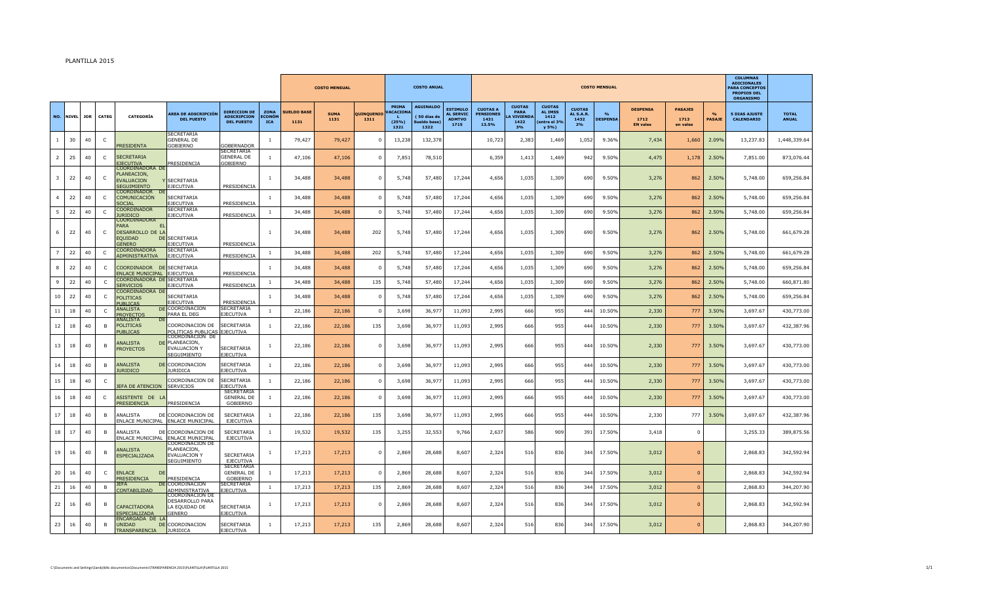## PLANTILLA 2015

|                |              |            |                |                                                                    |                                                                             |                                                                |                                     |                            | <b>COSTO MENSUAL</b> |                    |                                           | <b>COSTO ANUAL</b>                                      |                                                              |                                                      |                                                           |                                                                 |                                          | <b>COSTO MENSUAL</b>    |                                            |                                    |                       | <b>COLLIMNAS</b><br><b>ADICIONALES</b><br><b>PARA CONCEPTOS</b><br><b>PROPIOS DEL</b><br><b>ORGANISMO</b> |                              |
|----------------|--------------|------------|----------------|--------------------------------------------------------------------|-----------------------------------------------------------------------------|----------------------------------------------------------------|-------------------------------------|----------------------------|----------------------|--------------------|-------------------------------------------|---------------------------------------------------------|--------------------------------------------------------------|------------------------------------------------------|-----------------------------------------------------------|-----------------------------------------------------------------|------------------------------------------|-------------------------|--------------------------------------------|------------------------------------|-----------------------|-----------------------------------------------------------------------------------------------------------|------------------------------|
| NO.            | <b>NIVEL</b> | <b>JOR</b> | CATEG          | <b>CATEGORÍA</b>                                                   | AREA DE ADSCRIPCIÓN<br><b>DEL PUESTO</b>                                    | <b>DIRECCION DE</b><br><b>ADSCRIPCION</b><br><b>DEL PUESTO</b> | ZONA<br><b>ECONÓM</b><br><b>ICA</b> | <b>SUELDO BASE</b><br>1131 | <b>SUMA</b><br>1131  | QUINQUENIO<br>1311 | PRIMA<br><b>ACACIONA</b><br>(25%)<br>1321 | <b>AGUINALDO</b><br>(50 dias de<br>Sueldo base)<br>1322 | <b>ESTIMULO</b><br><b>AL SERVIC</b><br><b>ADMTVO</b><br>1715 | <b>CUOTAS A</b><br><b>PENSIONES</b><br>1431<br>13.5% | <b>CUOTAS</b><br>PARA<br><b>LA VIVIENDA</b><br>1422<br>3% | <b>CUOTAS</b><br><b>AL IMSS</b><br>1412<br>entre el 3%<br>y 5%) | <b>CUOTAS</b><br>AL S.A.R.<br>1432<br>2% | O(n)<br><b>DESPENSA</b> | <b>DESPENSA</b><br>1712<br><b>EN vales</b> | <b>PASAJES</b><br>1713<br>en vales | O(n)<br><b>PASAJE</b> | <b>5 DIAS AJUSTE</b><br><b>CALENDARIO</b>                                                                 | <b>TOTAL</b><br><b>ANUAL</b> |
| $\mathbf{1}$   | 30           | 40         | $\mathsf{C}$   | <b>PRESIDENTA</b>                                                  | SECRETARIA<br><b>GENERAL DE</b><br>GOBIERNO                                 | <b>SOBERNADOR</b>                                              | -1.                                 | 79,427                     | 79,427               | $^{\circ}$         | 13,238                                    | 132,378                                                 |                                                              | 10,723                                               | 2,383                                                     | 1,469                                                           | 1,052                                    | 9.36%                   | 7,434                                      | 1,660                              | 2.09%                 | 13,237.83                                                                                                 | 1,448,339.64                 |
| $\overline{2}$ | 25           | 40         | $\mathsf{C}$   | <b>SECRETARIA</b><br><b>EJECUTIVA</b>                              | PRESIDENCIA                                                                 | <b>SECRETARIA</b><br><b>GENERAL DE</b><br><b>GOBIERNO</b>      | -1                                  | 47,106                     | 47,106               | $\mathbf 0$        | 7,851                                     | 78,510                                                  |                                                              | 6,359                                                | 1,413                                                     | 1,469                                                           | 942                                      | 9.50%                   | 4,475                                      | 1,178                              | 2.50%                 | 7,851.00                                                                                                  | 873,076.44                   |
| 3              | 22           | 40         | $\mathsf{C}$   | COORDINADORA DE<br>PLANEACION.<br><b>EVALUACION</b><br>SEGUIMIENTO | <b>Y SECRETARIA</b><br><b>EJECUTIVA</b>                                     | PRESIDENCIA                                                    | $\mathbf{1}$                        | 34,488                     | 34,488               | $\mathbf 0$        | 5,748                                     | 57,480                                                  | 17,244                                                       | 4,656                                                | 1,035                                                     | 1,309                                                           | 690                                      | 9.50%                   | 3,276                                      | 862                                | 2.50%                 | 5,748.00                                                                                                  | 659,256.84                   |
|                | 22           | 40         | $\mathsf{C}$   | COORDINADOR<br>COMUNICACIÓN<br><b>SOCIAL</b>                       | <b>SECRETARIA</b><br><b>EJECUTIVA</b>                                       | PRESIDENCIA                                                    | $\mathbf{1}$                        | 34,488                     | 34,488               | $\mathbf 0$        | 5,748                                     | 57,480                                                  | 17,244                                                       | 4,656                                                | 1,035                                                     | 1,309                                                           | 690                                      | 9.50%                   | 3,276                                      | 862                                | 2.50%                 | 5,748.00                                                                                                  | 659,256.84                   |
| 5              | 22           | 40         | $\mathsf{C}$   | <b>COORDINADOR</b><br><b>URIDICO</b><br>COORDINADORA               | <b>SECRETARIA</b><br>EJECUTIVA                                              | PRESIDENCIA                                                    | 1                                   | 34,488                     | 34,488               | $\mathbf 0$        | 5,748                                     | 57,480                                                  | 17,244                                                       | 4,656                                                | 1,035                                                     | 1,309                                                           | 690                                      | 9.50%                   | 3,276                                      | 862                                | 2.50%                 | 5,748.00                                                                                                  | 659,256.84                   |
| 6              | 22           | 40         | $\mathsf{C}$   | <b>PARA</b><br>DESARROLLO DE LA<br><b>EQUIDAD</b><br><b>GENERO</b> | <b>DE SECRETARIA</b><br><b>EJECUTIVA</b>                                    | PRESIDENCIA                                                    | $\overline{1}$                      | 34,488                     | 34,488               | 202                | 5,748                                     | 57,480                                                  | 17,244                                                       | 4,656                                                | 1,035                                                     | 1,309                                                           | 690                                      | 9.50%                   | 3,276                                      | 862                                | 2.50%                 | 5,748.00                                                                                                  | 661,679.28                   |
| $\overline{7}$ | 22           | 40         | $\mathsf{C}$   | COORDINADORA<br>ADMINISTRATIVA                                     | SECRETARIA<br>EJECUTIVA                                                     | PRESIDENCIA                                                    | 1                                   | 34,488                     | 34,488               | 202                | 5,748                                     | 57,480                                                  | 17,244                                                       | 4,656                                                | 1,035                                                     | 1,309                                                           | 690                                      | 9.50%                   | 3,276                                      | 862                                | 2.50%                 | 5,748.00                                                                                                  | 661,679.28                   |
| 8              | 22           | 40         | C              | COORDINADOR DE SECRETARIA<br>ENLACE MUNICIPAL EJECUTIVA            |                                                                             | PRESIDENCIA                                                    | 1                                   | 34,488                     | 34,488               | $\mathbf 0$        | 5,748                                     | 57,480                                                  | 17,244                                                       | 4,656                                                | 1,035                                                     | 1,309                                                           | 690                                      | 9.50%                   | 3,276                                      | 862                                | 2.50%                 | 5,748.00                                                                                                  | 659,256.84                   |
| 9              | 22           | 40         | C              | COORDINADORA DE SECRETARIA<br><b>SERVICIOS</b>                     | <b>EJECUTIVA</b>                                                            | PRESIDENCIA                                                    | 1                                   | 34,488                     | 34,488               | 135                | 5,748                                     | 57,480                                                  | 17,244                                                       | 4,656                                                | 1,035                                                     | 1,309                                                           | 690                                      | 9.50%                   | 3,276                                      | 862                                | 2.50%                 | 5,748.00                                                                                                  | 660,871.80                   |
| 10             | 22           | 40         | $\mathsf{C}$   | COORDINADORA DE<br>POLITICAS<br><b>PUBLICAS</b>                    | <b>SECRETARIA</b><br><b>EJECUTIVA</b>                                       | PRESIDENCIA                                                    |                                     | 34,488                     | 34,488               | $\mathbf 0$        | 5,748                                     | 57,480                                                  | 17,244                                                       | 4,656                                                | 1,035                                                     | 1,309                                                           | 690                                      | 9.50%                   | 3,276                                      | 862                                | 2.50%                 | 5,748.00                                                                                                  | 659,256.84                   |
| 11             | 18           | 40         | $\mathsf{C}$   | ANALISTA<br><b>PROYECTO:</b>                                       | <b>DE COORDINACION</b><br>PARA EL DEG                                       | SECRETARIA<br><b>EJECUTIVA</b>                                 | 1                                   | 22,186                     | 22,186               | $\mathbf 0$        | 3,698                                     | 36,977                                                  | 11,093                                                       | 2,995                                                | 666                                                       | 955                                                             | 444                                      | 10.50%                  | 2,330                                      | 777                                | 3.50%                 | 3,697.67                                                                                                  | 430,773.00                   |
| 12             | 18           | 40         | B.             | <b>ANALISTA</b><br>DF<br>POLITICAS<br><b>PUBLICAS</b>              | COORDINACION DE<br>POLITICAS PUBLICAS EJECUTIVA                             | <b>SECRETARIA</b>                                              | 1                                   | 22,186                     | 22,186               | 135                | 3,698                                     | 36,977                                                  | 11,093                                                       | 2,995                                                | 666                                                       | 955                                                             | 444                                      | 10.50%                  | 2,330                                      | 777                                | 3.50%                 | 3,697.67                                                                                                  | 432,387.96                   |
| 13             | 18           | 40         | B              | ANALISTA<br><b>PROYECTOS</b>                                       | COORDINACION DE<br>DF PLANEACION,<br><b>EVALUACION Y</b><br>SEGUIMIENTO     | SECRETARIA<br><b>EJECUTIVA</b>                                 | $\mathbf{1}$                        | 22,186                     | 22,186               | $\mathbf 0$        | 3,698                                     | 36,977                                                  | 11,093                                                       | 2,995                                                | 666                                                       | 955                                                             | 444                                      | 10.50%                  | 2,330                                      | 777                                | 3.50%                 | 3,697.67                                                                                                  | 430,773.00                   |
| 14             | 18           | 40         | B.             | <b>ANALISTA</b><br><b>URIDICO</b>                                  | <b>DE COORDINACION</b><br><b>JURIDICA</b>                                   | <b>SECRETARIA</b><br><b>EJECUTIVA</b>                          | 1                                   | 22,186                     | 22,186               | $\mathbf 0$        | 3,698                                     | 36,977                                                  | 11,093                                                       | 2,995                                                | 666                                                       | 955                                                             | 444                                      | 10.50%                  | 2,330                                      | 777                                | 3.50%                 | 3,697.67                                                                                                  | 430,773.00                   |
| 15             | 18           | 40         | C              | <b>EFA DE ATENCION</b>                                             | COORDINACION DE<br><b>SERVICIOS</b>                                         | <b>SECRETARIA</b><br>EJECUTIVA                                 | $\mathbf{1}$                        | 22,186                     | 22,186               | $\mathbf{0}$       | 3,698                                     | 36,977                                                  | 11,093                                                       | 2,995                                                | 666                                                       | 955                                                             | 444                                      | 10.50%                  | 2,330                                      | 777                                | 3.50%                 | 3,697.67                                                                                                  | 430,773.00                   |
| 16             | 18           | 40         | $\mathsf{C}$   | ASISTENTE DE LA<br><b>PRESIDENCIA</b>                              | PRESIDENCIA                                                                 | <b>SECRETARIA</b><br><b>GENERAL DE</b><br>GOBIERNO             | $\mathbf{1}$                        | 22,186                     | 22,186               | $\Omega$           | 3,698                                     | 36,977                                                  | 11,093                                                       | 2,995                                                | 666                                                       | 955                                                             | 444                                      | 10.50%                  | 2,330                                      | 777                                | 3.50%                 | 3,697.67                                                                                                  | 430,773.00                   |
| 17             | 18           | 40         | B <sub>1</sub> | ANALISTA                                                           | DE COORDINACION DE<br>ENLACE MUNICIPAL ENLACE MUNICIPAL                     | <b>SECRETARIA</b><br><b>EJECUTIVA</b>                          | $\mathbf{1}$                        | 22,186                     | 22,186               | 135                | 3,698                                     | 36,977                                                  | 11,093                                                       | 2,995                                                | 666                                                       | 955                                                             | 444                                      | 10.50%                  | 2,330                                      | 777                                | 3.50%                 | 3,697.67                                                                                                  | 432,387.96                   |
| 18             | 17           | 40         | B <sub>1</sub> | ANALISTA<br>ENLACE MUNICIPAL ENLACE MUNICIPAL                      | DE COORDINACION DE                                                          | <b>SECRETARIA</b><br>EJECUTIVA                                 | $\mathbf{1}$                        | 19,532                     | 19,532               | 135                | 3,255                                     | 32,553                                                  | 9,766                                                        | 2,637                                                | 586                                                       | 909                                                             | 391                                      | 17.50%                  | 3,418                                      | $\Omega$                           |                       | 3,255.33                                                                                                  | 389,875.56                   |
| 19             | 16           | 40         | B.             | <b>\NALISTA</b><br>ESPECIALIZADA                                   | COORDINACION DE<br>PLANEACION,<br><b>EVALUACION Y</b><br>SEGUIMIENTO        | <b>SECRETARIA</b><br><b>EJECUTIVA</b>                          | 1                                   | 17,213                     | 17,213               | $\mathbf 0$        | 2,869                                     | 28,688                                                  | 8,607                                                        | 2,324                                                | 516                                                       | 836                                                             | 344                                      | 17.50%                  | 3,012                                      | $\Omega$                           |                       | 2,868.83                                                                                                  | 342,592.94                   |
| 20             | 16           | 40         | C              | <b>ENLACE</b><br>DE<br>PRESIDENCIA                                 | PRESIDENCIA                                                                 | SECRETARIA<br><b>GENERAL DE</b><br>GOBIERNO                    | 1                                   | 17,213                     | 17,213               | $\mathbf 0$        | 2,869                                     | 28,688                                                  | 8,607                                                        | 2,324                                                | 516                                                       | 836                                                             | 344                                      | 17.50%                  | 3,012                                      | $\Omega$                           |                       | 2,868.83                                                                                                  | 342,592.94                   |
| 21             | 16           | 40         | B              | <b>JEFA</b><br>CONTABILIDAD                                        | DE COORDINACION<br>ADMINISTRATIVA                                           | SECRETARIA<br><b>JECUTIVA</b>                                  | $\mathbf{1}$                        | 17,213                     | 17,213               | 135                | 2,869                                     | 28,688                                                  | 8,607                                                        | 2,324                                                | 516                                                       | 836                                                             | 344                                      | 17.50%                  | 3,012                                      | $\Omega$                           |                       | 2,868.83                                                                                                  | 344,207.90                   |
| 22             | 16           | 40         | B              | CAPACITADORA<br><b>ESPECIALIZADA</b>                               | COORDINACION DE<br><b>DESARROLLO PARA</b><br>LA EOUIDAD DE<br><b>GENERO</b> | <b>SECRETARIA</b><br><b>EJECUTIVA</b>                          | $\mathbf{1}$                        | 17,213                     | 17,213               | $\Omega$           | 2,869                                     | 28,688                                                  | 8,607                                                        | 2,324                                                | 516                                                       | 836                                                             | 344                                      | 17.50%                  | 3,012                                      | $\Omega$                           |                       | 2,868.83                                                                                                  | 342,592.94                   |
| 23             | 16           | 40         | B              | ENCARGADA DE LA<br>UNIDAD<br><b>TRANSPARENCIA</b>                  | <b>DE COORDINACION</b><br><b>JURIDICA</b>                                   | <b>SECRETARIA</b><br><b>EJECUTIVA</b>                          | 1                                   | 17,213                     | 17,213               | 135                | 2,869                                     | 28,688                                                  | 8,607                                                        | 2,324                                                | 516                                                       | 836                                                             | 344                                      | 17.50%                  | 3,012                                      | $\Omega$                           |                       | 2,868.83                                                                                                  | 344,207.90                   |